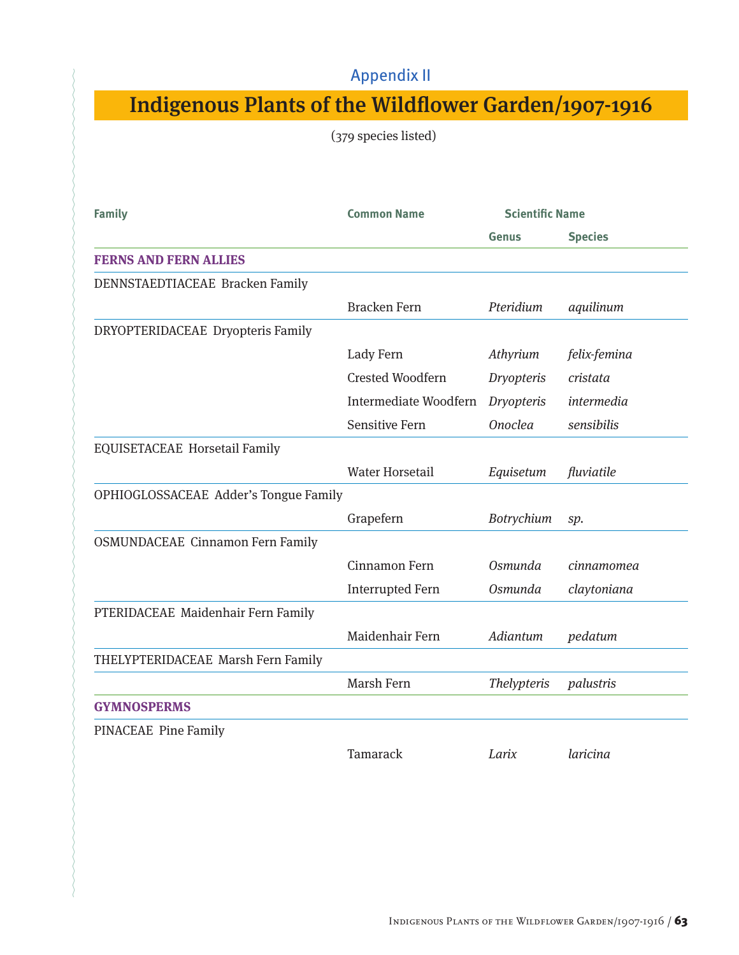## Appendix II

## Indigenous Plants of the Wildflower Garden/1907-1916

(379 species listed)

| <b>Family</b>                           | <b>Common Name</b>      | <b>Scientific Name</b> |                |
|-----------------------------------------|-------------------------|------------------------|----------------|
|                                         |                         | Genus                  | <b>Species</b> |
| <b>FERNS AND FERN ALLIES</b>            |                         |                        |                |
| DENNSTAEDTIACEAE Bracken Family         |                         |                        |                |
|                                         | <b>Bracken Fern</b>     | Pteridium              | aquilinum      |
| DRYOPTERIDACEAE Dryopteris Family       |                         |                        |                |
|                                         | Lady Fern               | Athyrium               | felix-femina   |
|                                         | <b>Crested Woodfern</b> | <b>Dryopteris</b>      | cristata       |
|                                         | Intermediate Woodfern   | <b>Dryopteris</b>      | intermedia     |
|                                         | <b>Sensitive Fern</b>   | <b>Onoclea</b>         | sensibilis     |
| <b>EQUISETACEAE Horsetail Family</b>    |                         |                        |                |
|                                         | <b>Water Horsetail</b>  | Equisetum              | fluviatile     |
| OPHIOGLOSSACEAE Adder's Tongue Family   |                         |                        |                |
|                                         | Grapefern               | Botrychium             | sp.            |
| <b>OSMUNDACEAE Cinnamon Fern Family</b> |                         |                        |                |
|                                         | Cinnamon Fern           | Osmunda                | cinnamomea     |
|                                         | <b>Interrupted Fern</b> | Osmunda                | claytoniana    |
| PTERIDACEAE Maidenhair Fern Family      |                         |                        |                |
|                                         | Maidenhair Fern         | Adiantum               | pedatum        |
| THELYPTERIDACEAE Marsh Fern Family      |                         |                        |                |
|                                         | Marsh Fern              | <b>Thelypteris</b>     | palustris      |
| <b>GYMNOSPERMS</b>                      |                         |                        |                |
| PINACEAE Pine Family                    |                         |                        |                |
|                                         | Tamarack                | Larix                  | laricina       |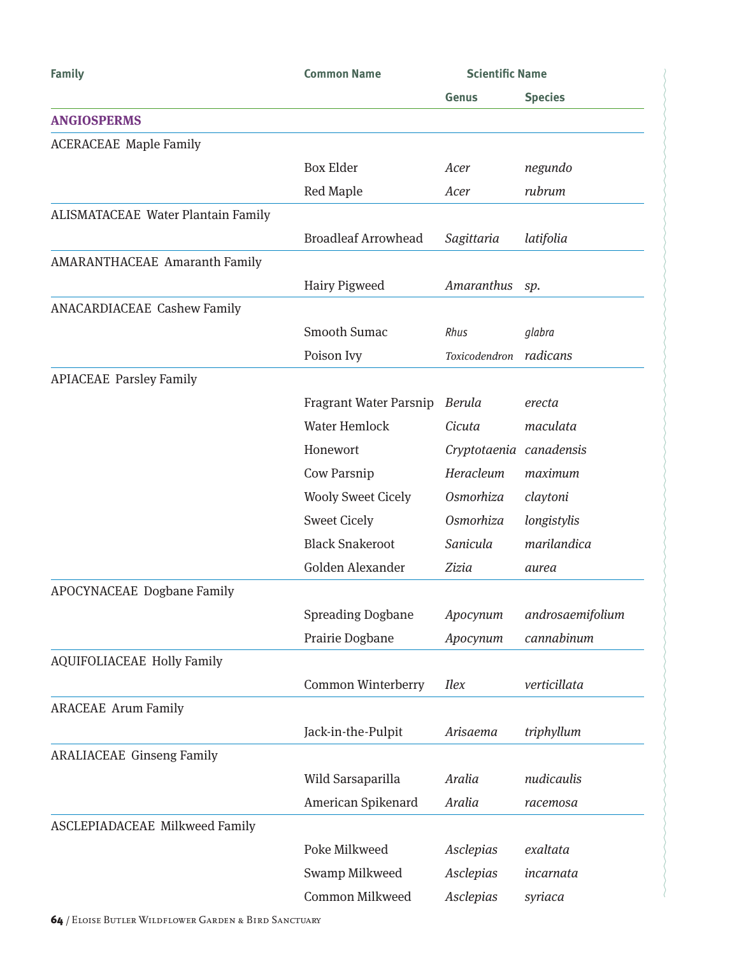| <b>Family</b>                             | <b>Common Name</b>            | <b>Scientific Name</b>  |                  |
|-------------------------------------------|-------------------------------|-------------------------|------------------|
|                                           |                               | Genus                   | <b>Species</b>   |
| <b>ANGIOSPERMS</b>                        |                               |                         |                  |
| <b>ACERACEAE Maple Family</b>             |                               |                         |                  |
|                                           | <b>Box Elder</b>              | Acer                    | negundo          |
|                                           | <b>Red Maple</b>              | Acer                    | rubrum           |
| <b>ALISMATACEAE Water Plantain Family</b> |                               |                         |                  |
|                                           | <b>Broadleaf Arrowhead</b>    | Sagittaria              | latifolia        |
| <b>AMARANTHACEAE Amaranth Family</b>      |                               |                         |                  |
|                                           | Hairy Pigweed                 | Amaranthus              | sp.              |
| <b>ANACARDIACEAE Cashew Family</b>        |                               |                         |                  |
|                                           | Smooth Sumac                  | Rhus                    | glabra           |
|                                           | Poison Ivy                    | Toxicodendron           | radicans         |
| <b>APIACEAE Parsley Family</b>            |                               |                         |                  |
|                                           | <b>Fragrant Water Parsnip</b> | Berula                  | erecta           |
|                                           | <b>Water Hemlock</b>          | Cicuta                  | maculata         |
|                                           | Honewort                      | Cryptotaenia canadensis |                  |
|                                           | Cow Parsnip                   | Heracleum               | maximum          |
|                                           | <b>Wooly Sweet Cicely</b>     | Osmorhiza               | claytoni         |
|                                           | <b>Sweet Cicely</b>           | Osmorhiza               | longistylis      |
|                                           | <b>Black Snakeroot</b>        | Sanicula                | marilandica      |
|                                           | Golden Alexander              | Zizia                   | aurea            |
| APOCYNACEAE Dogbane Family                |                               |                         |                  |
|                                           | <b>Spreading Dogbane</b>      | Apocynum                | androsaemifolium |
|                                           | Prairie Dogbane               | Apocynum                | cannabinum       |
| <b>AQUIFOLIACEAE Holly Family</b>         |                               |                         |                  |
|                                           | Common Winterberry            | <i>Ilex</i>             | verticillata     |
| <b>ARACEAE</b> Arum Family                |                               |                         |                  |
|                                           | Jack-in-the-Pulpit            | Arisaema                | triphyllum       |
| <b>ARALIACEAE Ginseng Family</b>          |                               |                         |                  |
|                                           | Wild Sarsaparilla             | Aralia                  | nudicaulis       |
|                                           | American Spikenard            | Aralia                  | racemosa         |
| <b>ASCLEPIADACEAE Milkweed Family</b>     |                               |                         |                  |
|                                           | Poke Milkweed                 | Asclepias               | exaltata         |
|                                           | Swamp Milkweed                | Asclepias               | incarnata        |
|                                           | Common Milkweed               | Asclepias               | syriaca          |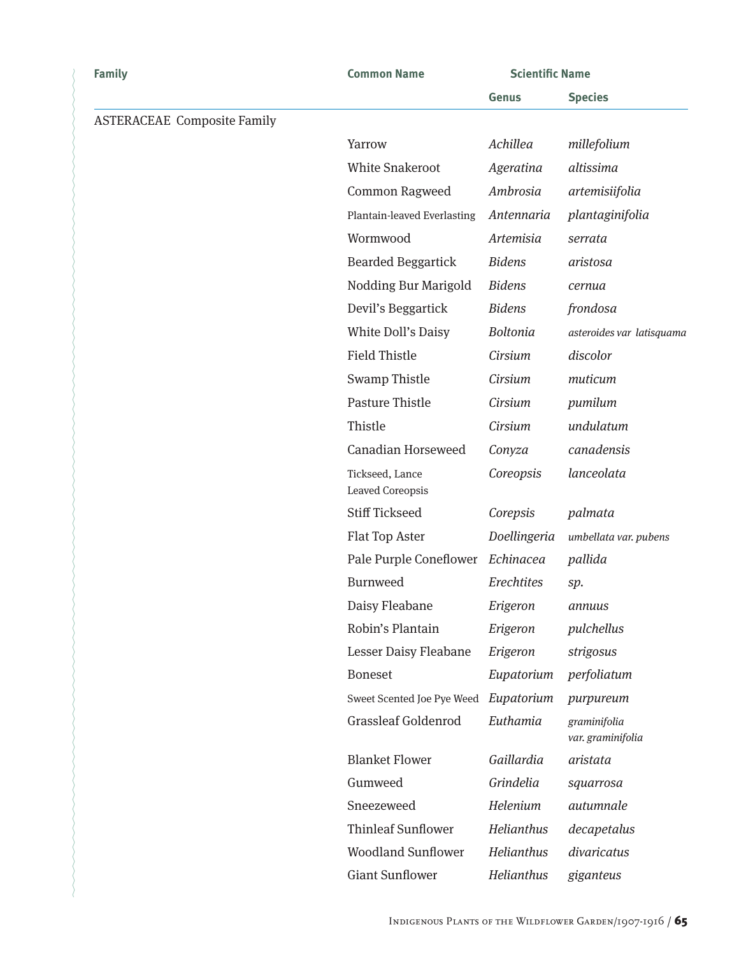| <b>Family</b>                      | <b>Common Name</b>                         | <b>Scientific Name</b> |                                   |
|------------------------------------|--------------------------------------------|------------------------|-----------------------------------|
|                                    |                                            | Genus                  | <b>Species</b>                    |
| <b>ASTERACEAE Composite Family</b> |                                            |                        |                                   |
|                                    | Yarrow                                     | Achillea               | millefolium                       |
|                                    | <b>White Snakeroot</b>                     | Ageratina              | altissima                         |
|                                    | Common Ragweed                             | Ambrosia               | artemisiifolia                    |
|                                    | Plantain-leaved Everlasting                | Antennaria             | plantaginifolia                   |
|                                    | Wormwood                                   | Artemisia              | serrata                           |
|                                    | <b>Bearded Beggartick</b>                  | <b>Bidens</b>          | aristosa                          |
|                                    | Nodding Bur Marigold                       | <b>Bidens</b>          | cernua                            |
|                                    | Devil's Beggartick                         | <b>Bidens</b>          | frondosa                          |
|                                    | White Doll's Daisy                         | <b>Boltonia</b>        | asteroides var latisquama         |
|                                    | <b>Field Thistle</b>                       | Cirsium                | discolor                          |
|                                    | <b>Swamp Thistle</b>                       | Cirsium                | muticum                           |
|                                    | <b>Pasture Thistle</b>                     | Cirsium                | pumilum                           |
|                                    | Thistle                                    | Cirsium                | undulatum                         |
|                                    | <b>Canadian Horseweed</b>                  | Conyza                 | canadensis                        |
|                                    | Tickseed, Lance<br><b>Leaved Coreopsis</b> | Coreopsis              | lanceolata                        |
|                                    | <b>Stiff Tickseed</b>                      | Corepsis               | palmata                           |
|                                    | Flat Top Aster                             | Doellingeria           | umbellata var. pubens             |
|                                    | Pale Purple Coneflower                     | Echinacea              | pallida                           |
|                                    | <b>Burnweed</b>                            | Erechtites             | sp.                               |
|                                    | Daisy Fleabane                             | Erigeron               | annuus                            |
|                                    | Robin's Plantain                           | Erigeron               | pulchellus                        |
|                                    | Lesser Daisy Fleabane                      | Erigeron               | strigosus                         |
|                                    | <b>Boneset</b>                             | Eupatorium             | perfoliatum                       |
|                                    | Sweet Scented Joe Pye Weed                 | Eupatorium             | purpureum                         |
|                                    | <b>Grassleaf Goldenrod</b>                 | Euthamia               | graminifolia<br>var. graminifolia |
|                                    | <b>Blanket Flower</b>                      | Gaillardia             | aristata                          |
|                                    | Gumweed                                    | Grindelia              | squarrosa                         |
|                                    | Sneezeweed                                 | Helenium               | autumnale                         |
|                                    | <b>Thinleaf Sunflower</b>                  | Helianthus             | decapetalus                       |
|                                    | <b>Woodland Sunflower</b>                  | Helianthus             | divaricatus                       |
|                                    | <b>Giant Sunflower</b>                     | Helianthus             | giganteus                         |
|                                    |                                            |                        |                                   |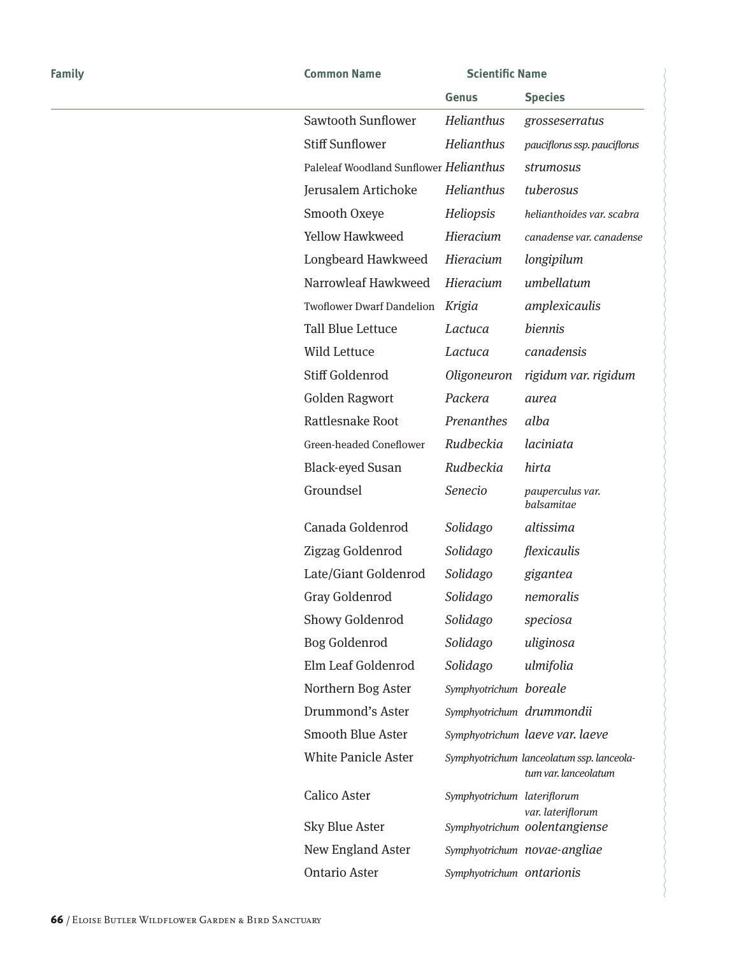| <b>Family</b> | <b>Common Name</b>                     | <b>Scientific Name</b>      |                                                                   |
|---------------|----------------------------------------|-----------------------------|-------------------------------------------------------------------|
|               |                                        | Genus                       | <b>Species</b>                                                    |
|               | Sawtooth Sunflower                     | Helianthus                  | grosseserratus                                                    |
|               | <b>Stiff Sunflower</b>                 | Helianthus                  | pauciflorus ssp. pauciflorus                                      |
|               | Paleleaf Woodland Sunflower Helianthus |                             | strumosus                                                         |
|               | Jerusalem Artichoke                    | Helianthus                  | tuberosus                                                         |
|               | Smooth Oxeye                           | Heliopsis                   | helianthoides var. scabra                                         |
|               | <b>Yellow Hawkweed</b>                 | Hieracium                   | canadense var. canadense                                          |
|               | Longbeard Hawkweed                     | Hieracium                   | longipilum                                                        |
|               | Narrowleaf Hawkweed                    | Hieracium                   | umbellatum                                                        |
|               | <b>Twoflower Dwarf Dandelion</b>       | Krigia                      | amplexicaulis                                                     |
|               | <b>Tall Blue Lettuce</b>               | Lactuca                     | biennis                                                           |
|               | Wild Lettuce                           | Lactuca                     | canadensis                                                        |
|               | Stiff Goldenrod                        | Oligoneuron                 | rigidum var. rigidum                                              |
|               | <b>Golden Ragwort</b>                  | Packera                     | aurea                                                             |
|               | Rattlesnake Root                       | Prenanthes                  | alba                                                              |
|               | Green-headed Coneflower                | Rudbeckia                   | laciniata                                                         |
|               | <b>Black-eyed Susan</b>                | Rudbeckia                   | hirta                                                             |
|               | Groundsel                              | Senecio                     | pauperculus var.<br>balsamitae                                    |
|               | Canada Goldenrod                       | Solidago                    | altissima                                                         |
|               | Zigzag Goldenrod                       | Solidago                    | flexicaulis                                                       |
|               | Late/Giant Goldenrod                   | Solidago                    | gigantea                                                          |
|               | Gray Goldenrod                         | Solidago                    | nemoralis                                                         |
|               | Showy Goldenrod                        | Solidago                    | speciosa                                                          |
|               | <b>Bog Goldenrod</b>                   | Solidago                    | uliginosa                                                         |
|               | Elm Leaf Goldenrod                     | Solidago                    | ulmifolia                                                         |
|               | Northern Bog Aster                     | Symphyotrichum boreale      |                                                                   |
|               | Drummond's Aster                       | Symphyotrichum drummondii   |                                                                   |
|               | <b>Smooth Blue Aster</b>               |                             | Symphyotrichum laeve var. laeve                                   |
|               | <b>White Panicle Aster</b>             |                             | Symphyotrichum lanceolatum ssp. lanceola-<br>tum var. lanceolatum |
|               | Calico Aster                           | Symphyotrichum lateriflorum | var. lateriflorum                                                 |
|               | Sky Blue Aster                         |                             | Symphyotrichum oolentangiense                                     |
|               | New England Aster                      |                             | Symphyotrichum novae-angliae                                      |
|               | <b>Ontario Aster</b>                   | Symphyotrichum ontarionis   |                                                                   |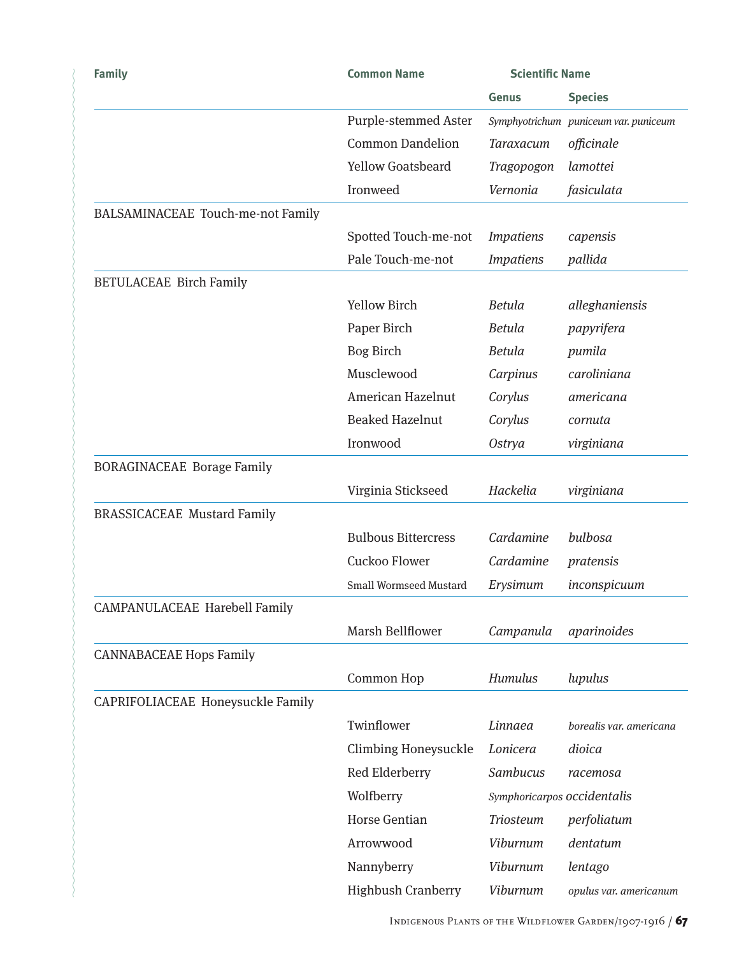| <b>Family</b>                        | <b>Common Name</b>            | <b>Scientific Name</b>      |                                       |
|--------------------------------------|-------------------------------|-----------------------------|---------------------------------------|
|                                      |                               | <b>Genus</b>                | <b>Species</b>                        |
|                                      | <b>Purple-stemmed Aster</b>   |                             | Symphyotrichum puniceum var. puniceum |
|                                      | <b>Common Dandelion</b>       | <b>Taraxacum</b>            | officinale                            |
|                                      | <b>Yellow Goatsbeard</b>      | Tragopogon                  | lamottei                              |
|                                      | Ironweed                      | Vernonia                    | fasiculata                            |
| BALSAMINACEAE Touch-me-not Family    |                               |                             |                                       |
|                                      | Spotted Touch-me-not          | <b>Impatiens</b>            | capensis                              |
|                                      | Pale Touch-me-not             | <b>Impatiens</b>            | pallida                               |
| <b>BETULACEAE Birch Family</b>       |                               |                             |                                       |
|                                      | <b>Yellow Birch</b>           | <b>Betula</b>               | alleghaniensis                        |
|                                      | Paper Birch                   | <b>Betula</b>               | papyrifera                            |
|                                      | <b>Bog Birch</b>              | <b>Betula</b>               | pumila                                |
|                                      | Musclewood                    | Carpinus                    | caroliniana                           |
|                                      | American Hazelnut             | Corylus                     | americana                             |
|                                      | <b>Beaked Hazelnut</b>        | Corylus                     | cornuta                               |
|                                      | Ironwood                      | <b>Ostrya</b>               | virginiana                            |
| <b>BORAGINACEAE Borage Family</b>    |                               |                             |                                       |
|                                      | Virginia Stickseed            | Hackelia                    | virginiana                            |
| <b>BRASSICACEAE Mustard Family</b>   |                               |                             |                                       |
|                                      | <b>Bulbous Bittercress</b>    | Cardamine                   | bulbosa                               |
|                                      | Cuckoo Flower                 | Cardamine                   | pratensis                             |
|                                      | <b>Small Wormseed Mustard</b> | Erysimum                    | inconspicuum                          |
| <b>CAMPANULACEAE Harebell Family</b> |                               |                             |                                       |
|                                      | Marsh Bellflower              | Campanula                   | aparinoides                           |
| <b>CANNABACEAE Hops Family</b>       |                               |                             |                                       |
|                                      | Common Hop                    | Humulus                     | lupulus                               |
| CAPRIFOLIACEAE Honeysuckle Family    |                               |                             |                                       |
|                                      | Twinflower                    | Linnaea                     | borealis var. americana               |
|                                      | <b>Climbing Honeysuckle</b>   | Lonicera                    | dioica                                |
|                                      | Red Elderberry                | Sambucus                    | racemosa                              |
|                                      | Wolfberry                     | Symphoricarpos occidentalis |                                       |
|                                      | <b>Horse Gentian</b>          | <b>Triosteum</b>            | perfoliatum                           |
|                                      | Arrowwood                     | <b>Viburnum</b>             | dentatum                              |
|                                      | Nannyberry                    | <b>Viburnum</b>             | lentago                               |
|                                      | <b>Highbush Cranberry</b>     | Viburnum                    | opulus var. americanum                |
|                                      |                               |                             |                                       |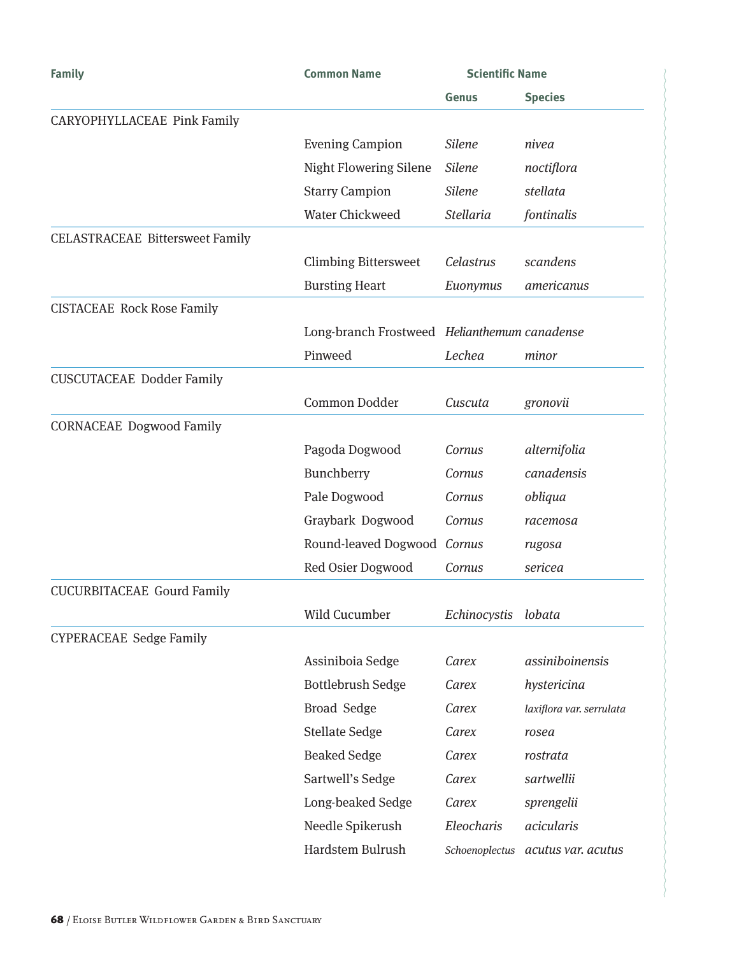| Family                                 | <b>Common Name</b>                           | <b>Scientific Name</b> |                          |
|----------------------------------------|----------------------------------------------|------------------------|--------------------------|
|                                        |                                              | Genus                  | <b>Species</b>           |
| CARYOPHYLLACEAE Pink Family            |                                              |                        |                          |
|                                        | <b>Evening Campion</b>                       | <b>Silene</b>          | nivea                    |
|                                        | <b>Night Flowering Silene</b>                | <b>Silene</b>          | noctiflora               |
|                                        | <b>Starry Campion</b>                        | <b>Silene</b>          | stellata                 |
|                                        | <b>Water Chickweed</b>                       | <b>Stellaria</b>       | fontinalis               |
| <b>CELASTRACEAE Bittersweet Family</b> |                                              |                        |                          |
|                                        | <b>Climbing Bittersweet</b>                  | Celastrus              | scandens                 |
|                                        | <b>Bursting Heart</b>                        | Euonymus               | americanus               |
| <b>CISTACEAE Rock Rose Family</b>      |                                              |                        |                          |
|                                        | Long-branch Frostweed Helianthemum canadense |                        |                          |
|                                        | Pinweed                                      | Lechea                 | minor                    |
| <b>CUSCUTACEAE Dodder Family</b>       |                                              |                        |                          |
|                                        | Common Dodder                                | Cuscuta                | gronovii                 |
| <b>CORNACEAE Dogwood Family</b>        |                                              |                        |                          |
|                                        | Pagoda Dogwood                               | Cornus                 | alternifolia             |
|                                        | Bunchberry                                   | Cornus                 | canadensis               |
|                                        | Pale Dogwood                                 | Cornus                 | obliqua                  |
|                                        | Graybark Dogwood                             | Cornus                 | racemosa                 |
|                                        | Round-leaved Dogwood Cornus                  |                        | rugosa                   |
|                                        | Red Osier Dogwood                            | Cornus                 | sericea                  |
| <b>CUCURBITACEAE Gourd Family</b>      |                                              |                        |                          |
|                                        | Wild Cucumber                                | Echinocystis           | lobata                   |
| <b>CYPERACEAE Sedge Family</b>         |                                              |                        |                          |
|                                        | Assiniboia Sedge                             | Carex                  | assiniboinensis          |
|                                        | <b>Bottlebrush Sedge</b>                     | Carex                  | hystericina              |
|                                        | <b>Broad Sedge</b>                           | Carex                  | laxiflora var. serrulata |
|                                        | <b>Stellate Sedge</b>                        | Carex                  | rosea                    |
|                                        | <b>Beaked Sedge</b>                          | Carex                  | rostrata                 |
|                                        | Sartwell's Sedge                             | Carex                  | sartwellii               |
|                                        | Long-beaked Sedge                            | Carex                  | sprengelii               |
|                                        | Needle Spikerush                             | Eleocharis             | acicularis               |
|                                        | Hardstem Bulrush                             | Schoenoplectus         | acutus var. acutus       |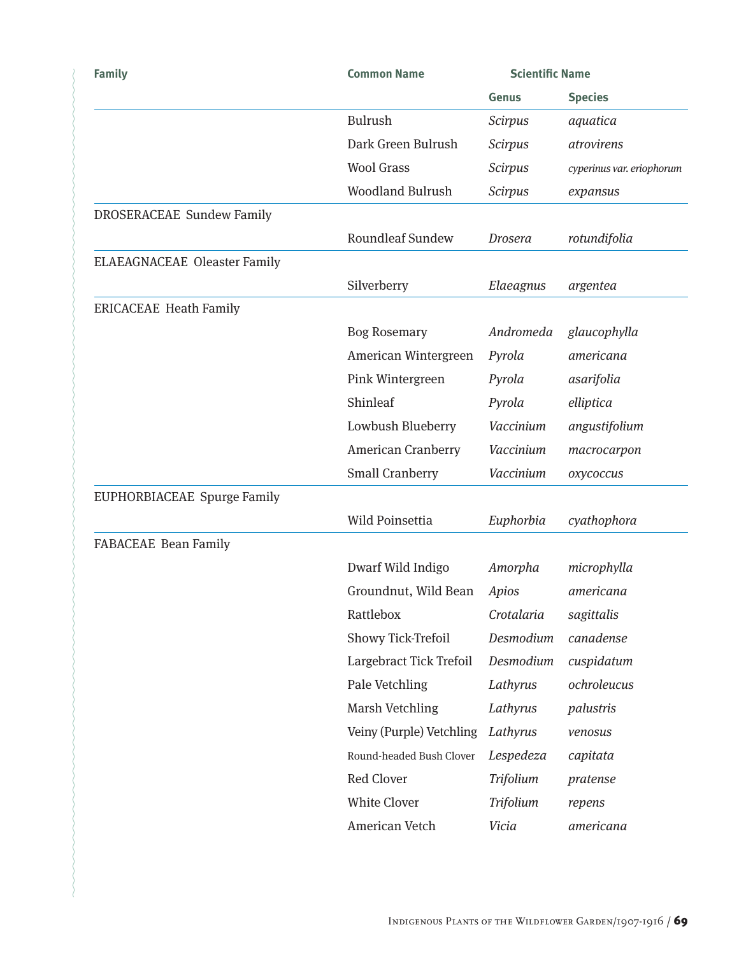| <b>Family</b>                       | <b>Common Name</b>       | <b>Scientific Name</b> |                           |
|-------------------------------------|--------------------------|------------------------|---------------------------|
|                                     |                          | <b>Genus</b>           | <b>Species</b>            |
|                                     | Bulrush                  | <b>Scirpus</b>         | aquatica                  |
|                                     | Dark Green Bulrush       | <b>Scirpus</b>         | atrovirens                |
|                                     | <b>Wool Grass</b>        | <b>Scirpus</b>         | cyperinus var. eriophorum |
|                                     | <b>Woodland Bulrush</b>  | <b>Scirpus</b>         | expansus                  |
| <b>DROSERACEAE Sundew Family</b>    |                          |                        |                           |
|                                     | <b>Roundleaf Sundew</b>  | <b>Drosera</b>         | rotundifolia              |
| <b>ELAEAGNACEAE Oleaster Family</b> |                          |                        |                           |
|                                     | Silverberry              | Elaeagnus              | argentea                  |
| <b>ERICACEAE Heath Family</b>       |                          |                        |                           |
|                                     | <b>Bog Rosemary</b>      | Andromeda              | glaucophylla              |
|                                     | American Wintergreen     | Pyrola                 | americana                 |
|                                     | Pink Wintergreen         | Pyrola                 | asarifolia                |
|                                     | Shinleaf                 | Pyrola                 | elliptica                 |
|                                     | Lowbush Blueberry        | Vaccinium              | angustifolium             |
|                                     | American Cranberry       | Vaccinium              | macrocarpon               |
|                                     | <b>Small Cranberry</b>   | Vaccinium              | oxycoccus                 |
| EUPHORBIACEAE Spurge Family         |                          |                        |                           |
|                                     | Wild Poinsettia          | Euphorbia              | cyathophora               |
| <b>FABACEAE</b> Bean Family         |                          |                        |                           |
|                                     | Dwarf Wild Indigo        | Amorpha                | microphylla               |
|                                     | Groundnut, Wild Bean     | Apios                  | americana                 |
|                                     | Rattlebox                | Crotalaria             | sagittalis                |
|                                     | Showy Tick-Trefoil       | Desmodium              | canadense                 |
|                                     | Largebract Tick Trefoil  | Desmodium              | cuspidatum                |
|                                     | Pale Vetchling           | Lathyrus               | ochroleucus               |
|                                     | Marsh Vetchling          | Lathyrus               | palustris                 |
|                                     | Veiny (Purple) Vetchling | Lathyrus               | venosus                   |
|                                     | Round-headed Bush Clover | Lespedeza              | capitata                  |
|                                     | Red Clover               | Trifolium              | pratense                  |
|                                     | <b>White Clover</b>      | Trifolium              | repens                    |
|                                     | American Vetch           | Vicia                  | americana                 |
|                                     |                          |                        |                           |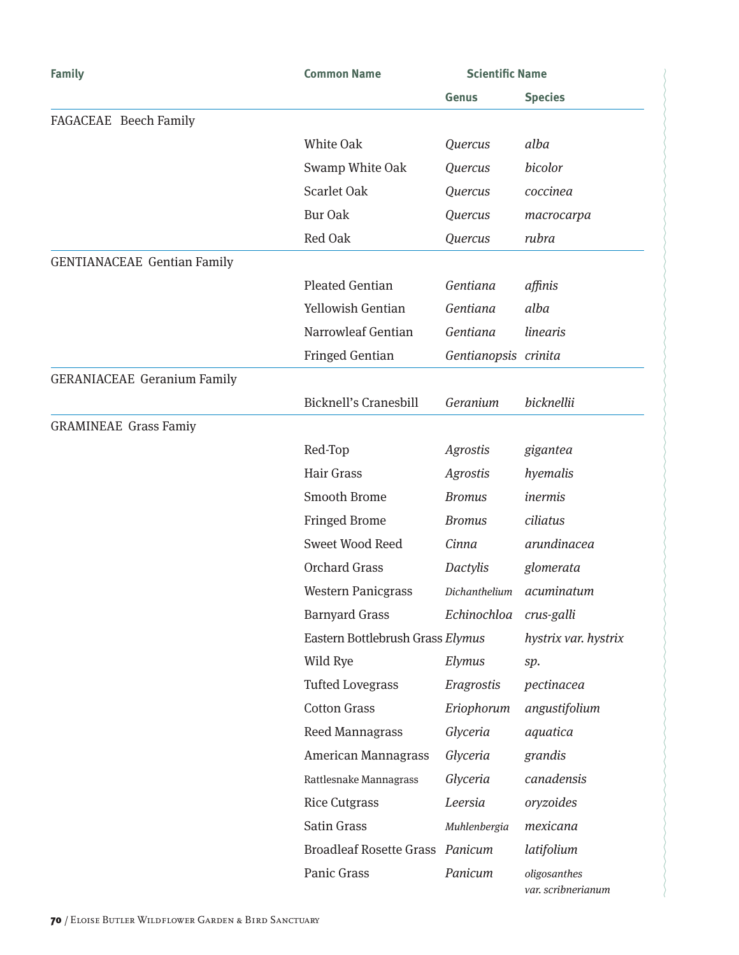| <b>Family</b>                      | <b>Common Name</b>                     | <b>Scientific Name</b> |                                    |
|------------------------------------|----------------------------------------|------------------------|------------------------------------|
|                                    |                                        | Genus                  | <b>Species</b>                     |
| FAGACEAE Beech Family              |                                        |                        |                                    |
|                                    | White Oak                              | Quercus                | alba                               |
|                                    | Swamp White Oak                        | Quercus                | bicolor                            |
|                                    | <b>Scarlet Oak</b>                     | Quercus                | coccinea                           |
|                                    | <b>Bur Oak</b>                         | Quercus                | macrocarpa                         |
|                                    | Red Oak                                | Quercus                | rubra                              |
| <b>GENTIANACEAE Gentian Family</b> |                                        |                        |                                    |
|                                    | <b>Pleated Gentian</b>                 | Gentiana               | affinis                            |
|                                    | Yellowish Gentian                      | Gentiana               | alba                               |
|                                    | Narrowleaf Gentian                     | Gentiana               | linearis                           |
|                                    | <b>Fringed Gentian</b>                 | Gentianopsis crinita   |                                    |
| <b>GERANIACEAE Geranium Family</b> |                                        |                        |                                    |
|                                    | <b>Bicknell's Cranesbill</b>           | Geranium               | bicknellii                         |
| <b>GRAMINEAE Grass Famiy</b>       |                                        |                        |                                    |
|                                    | Red-Top                                | <b>Agrostis</b>        | gigantea                           |
|                                    | Hair Grass                             | <b>Agrostis</b>        | hyemalis                           |
|                                    | Smooth Brome                           | <b>Bromus</b>          | inermis                            |
|                                    | <b>Fringed Brome</b>                   | <b>Bromus</b>          | ciliatus                           |
|                                    | Sweet Wood Reed                        | Cinna                  | arundinacea                        |
|                                    | <b>Orchard Grass</b>                   | <b>Dactylis</b>        | glomerata                          |
|                                    | <b>Western Panicgrass</b>              | Dichanthelium          | acuminatum                         |
|                                    | <b>Barnyard Grass</b>                  | Echinochloa            | crus-galli                         |
|                                    | Eastern Bottlebrush Grass Elymus       |                        | hystrix var. hystrix               |
|                                    | Wild Rye                               | Elymus                 | sp.                                |
|                                    | <b>Tufted Lovegrass</b>                | Eragrostis             | pectinacea                         |
|                                    | <b>Cotton Grass</b>                    | Eriophorum             | angustifolium                      |
|                                    | <b>Reed Mannagrass</b>                 | Glyceria               | aquatica                           |
|                                    | American Mannagrass                    | Glyceria               | grandis                            |
|                                    | Rattlesnake Mannagrass                 | Glyceria               | canadensis                         |
|                                    | <b>Rice Cutgrass</b>                   | Leersia                | oryzoides                          |
|                                    | Satin Grass                            | Muhlenbergia           | mexicana                           |
|                                    | <b>Broadleaf Rosette Grass Panicum</b> |                        | latifolium                         |
|                                    | Panic Grass                            | Panicum                | oligosanthes<br>var. scribnerianum |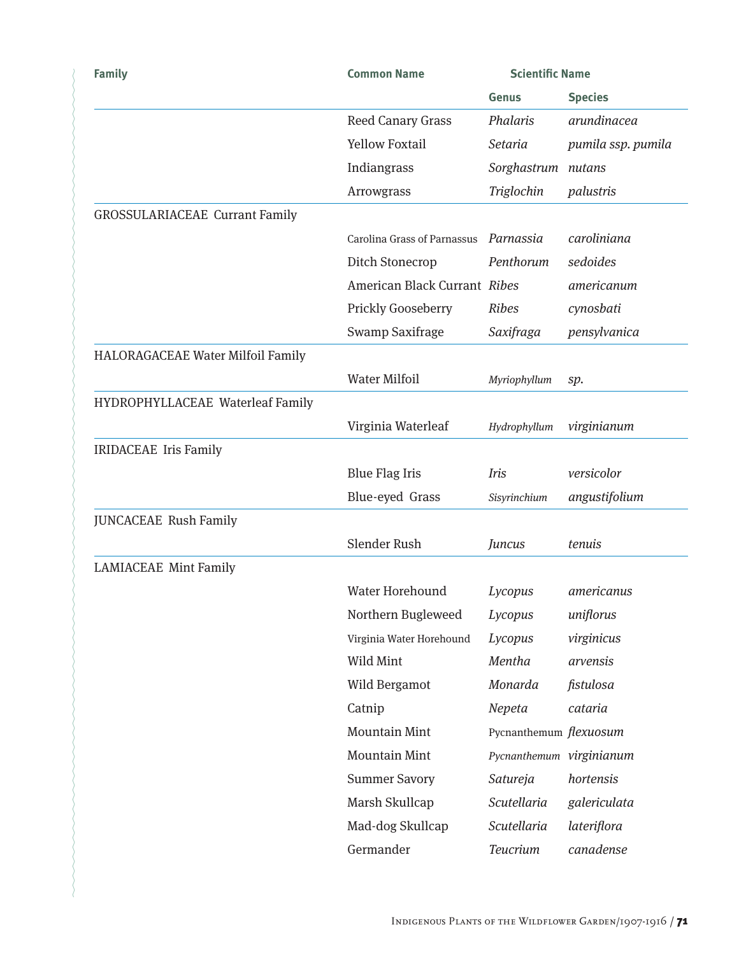| <b>Family</b>                         | <b>Common Name</b>           | <b>Scientific Name</b>   |                    |
|---------------------------------------|------------------------------|--------------------------|--------------------|
|                                       |                              | Genus                    | <b>Species</b>     |
|                                       | <b>Reed Canary Grass</b>     | Phalaris                 | arundinacea        |
|                                       | <b>Yellow Foxtail</b>        | <b>Setaria</b>           | pumila ssp. pumila |
|                                       | Indiangrass                  | Sorghastrum nutans       |                    |
|                                       | Arrowgrass                   | Triglochin               | palustris          |
| <b>GROSSULARIACEAE Currant Family</b> |                              |                          |                    |
|                                       | Carolina Grass of Parnassus  | Parnassia                | caroliniana        |
|                                       | Ditch Stonecrop              | Penthorum                | sedoides           |
|                                       | American Black Currant Ribes |                          | americanum         |
|                                       | Prickly Gooseberry           | <b>Ribes</b>             | cynosbati          |
|                                       | Swamp Saxifrage              | Saxifraga                | pensylvanica       |
| HALORAGACEAE Water Milfoil Family     |                              |                          |                    |
|                                       | <b>Water Milfoil</b>         | Myriophyllum             | sp.                |
| HYDROPHYLLACEAE Waterleaf Family      |                              |                          |                    |
|                                       | Virginia Waterleaf           | Hydrophyllum             | virginianum        |
| <b>IRIDACEAE</b> Iris Family          |                              |                          |                    |
|                                       | <b>Blue Flag Iris</b>        | Iris                     | versicolor         |
|                                       | Blue-eyed Grass              | Sisyrinchium             | angustifolium      |
| <b>JUNCACEAE Rush Family</b>          |                              |                          |                    |
|                                       | Slender Rush                 | Juncus                   | tenuis             |
| <b>LAMIACEAE Mint Family</b>          |                              |                          |                    |
|                                       | Water Horehound              | Lycopus                  | americanus         |
|                                       | Northern Bugleweed           | Lycopus                  | uniflorus          |
|                                       | Virginia Water Horehound     | Lycopus                  | virginicus         |
|                                       | Wild Mint                    | Mentha                   | arvensis           |
|                                       | Wild Bergamot                | Monarda                  | fistulosa          |
|                                       | Catnip                       | Nepeta                   | cataria            |
|                                       | <b>Mountain Mint</b>         | Pycnanthemum flexuosum   |                    |
|                                       | <b>Mountain Mint</b>         | Pycnanthemum virginianum |                    |
|                                       | <b>Summer Savory</b>         | Satureja                 | hortensis          |
|                                       | Marsh Skullcap               | Scutellaria              | galericulata       |
|                                       | Mad-dog Skullcap             | Scutellaria              | lateriflora        |
|                                       | Germander                    | Teucrium                 | canadense          |
|                                       |                              |                          |                    |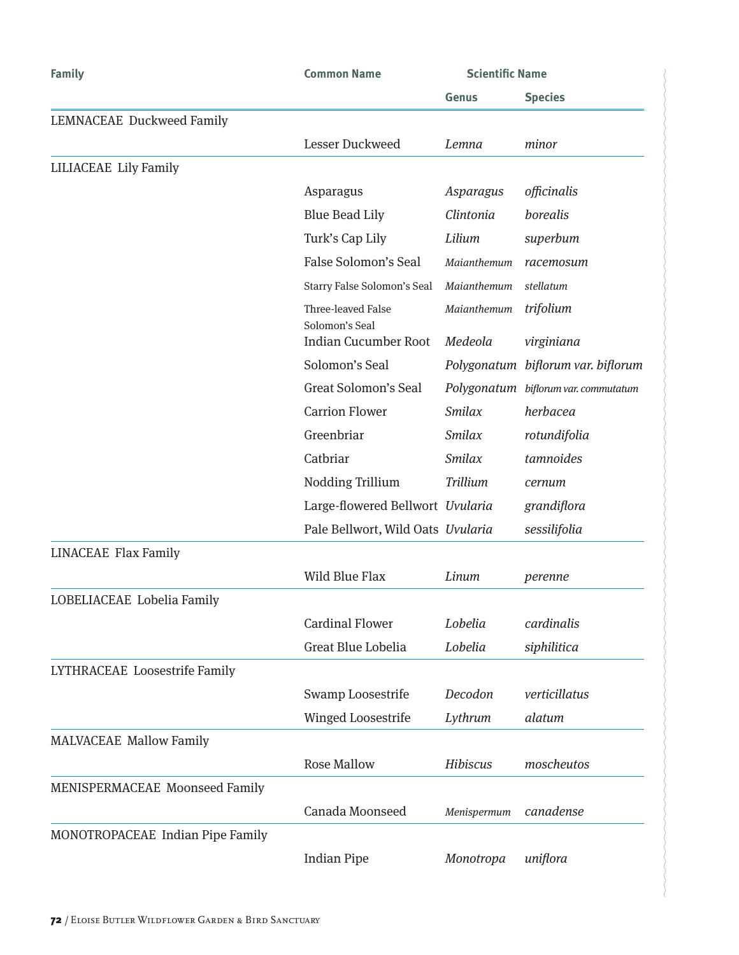| <b>Family</b>                    | <b>Common Name</b>                   | <b>Scientific Name</b> |                                      |
|----------------------------------|--------------------------------------|------------------------|--------------------------------------|
|                                  |                                      | Genus                  | <b>Species</b>                       |
| LEMNACEAE Duckweed Family        |                                      |                        |                                      |
|                                  | Lesser Duckweed                      | Lemna                  | minor                                |
| <b>LILIACEAE Lily Family</b>     |                                      |                        |                                      |
|                                  | Asparagus                            | Asparagus              | officinalis                          |
|                                  | <b>Blue Bead Lily</b>                | Clintonia              | borealis                             |
|                                  | Turk's Cap Lily                      | Lilium                 | superbum                             |
|                                  | False Solomon's Seal                 | Maianthemum            | racemosum                            |
|                                  | Starry False Solomon's Seal          | Maianthemum            | stellatum                            |
|                                  | Three-leaved False<br>Solomon's Seal | Maianthemum            | trifolium                            |
|                                  | <b>Indian Cucumber Root</b>          | Medeola                | virginiana                           |
|                                  | Solomon's Seal                       |                        | Polygonatum biflorum var. biflorum   |
|                                  | Great Solomon's Seal                 |                        | Polygonatum biflorum var. commutatum |
|                                  | <b>Carrion Flower</b>                | <b>Smilax</b>          | herbacea                             |
|                                  | Greenbriar                           | Smilax                 | rotundifolia                         |
|                                  | Catbriar                             | <b>Smilax</b>          | tamnoides                            |
|                                  | Nodding Trillium                     | Trillium               | cernum                               |
|                                  | Large-flowered Bellwort Uvularia     |                        | grandiflora                          |
|                                  | Pale Bellwort, Wild Oats Uvularia    |                        | sessilifolia                         |
| <b>LINACEAE Flax Family</b>      |                                      |                        |                                      |
|                                  | Wild Blue Flax                       | Linum                  | perenne                              |
| LOBELIACEAE Lobelia Family       |                                      |                        |                                      |
|                                  | <b>Cardinal Flower</b>               | Lobelia                | cardinalis                           |
|                                  | Great Blue Lobelia                   | Lobelia                | siphilitica                          |
| LYTHRACEAE Loosestrife Family    |                                      |                        |                                      |
|                                  | Swamp Loosestrife                    | Decodon                | verticillatus                        |
|                                  | <b>Winged Loosestrife</b>            | Lythrum                | alatum                               |
| <b>MALVACEAE Mallow Family</b>   |                                      |                        |                                      |
|                                  | <b>Rose Mallow</b>                   | Hibiscus               | moscheutos                           |
| MENISPERMACEAE Moonseed Family   |                                      |                        |                                      |
|                                  | Canada Moonseed                      | Menispermum            | canadense                            |
| MONOTROPACEAE Indian Pipe Family |                                      |                        |                                      |
|                                  | <b>Indian Pipe</b>                   | Monotropa              | uniflora                             |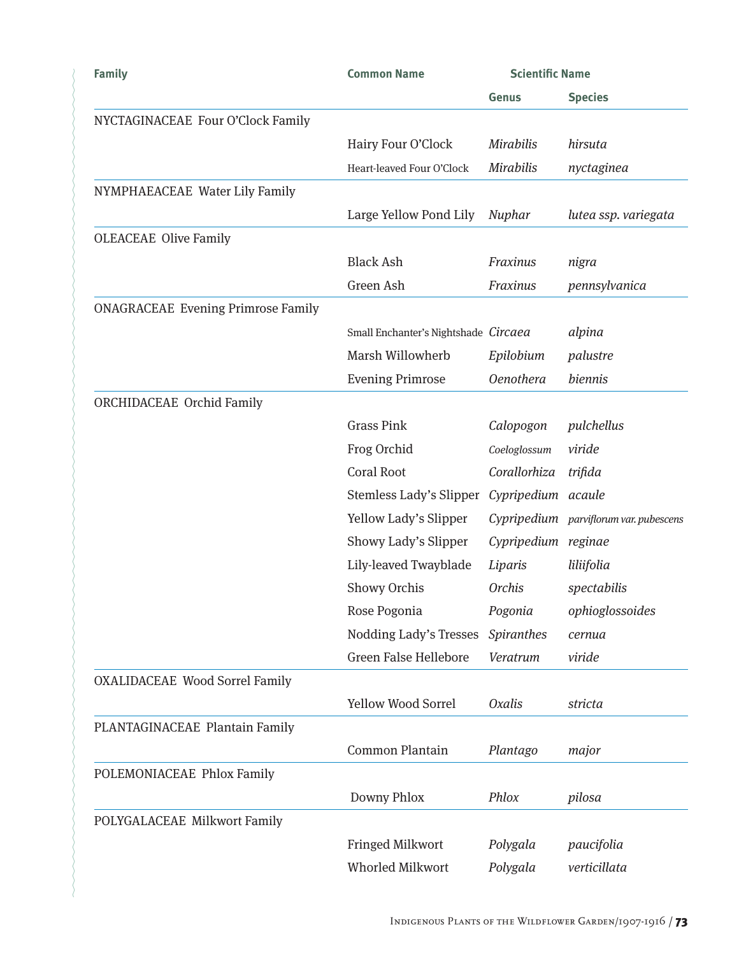| <b>Family</b>                             | <b>Common Name</b>                   | <b>Scientific Name</b> |                                        |
|-------------------------------------------|--------------------------------------|------------------------|----------------------------------------|
|                                           |                                      | Genus                  | <b>Species</b>                         |
| NYCTAGINACEAE Four O'Clock Family         |                                      |                        |                                        |
|                                           | Hairy Four O'Clock                   | <b>Mirabilis</b>       | hirsuta                                |
|                                           | Heart-leaved Four O'Clock            | <b>Mirabilis</b>       | nyctaginea                             |
| NYMPHAEACEAE Water Lily Family            |                                      |                        |                                        |
|                                           | Large Yellow Pond Lily               | Nuphar                 | lutea ssp. variegata                   |
| <b>OLEACEAE Olive Family</b>              |                                      |                        |                                        |
|                                           | <b>Black Ash</b>                     | Fraxinus               | nigra                                  |
|                                           | Green Ash                            | Fraxinus               | pennsylvanica                          |
| <b>ONAGRACEAE Evening Primrose Family</b> |                                      |                        |                                        |
|                                           | Small Enchanter's Nightshade Circaea |                        | alpina                                 |
|                                           | Marsh Willowherb                     | Epilobium              | palustre                               |
|                                           | <b>Evening Primrose</b>              | <b>Oenothera</b>       | biennis                                |
| ORCHIDACEAE Orchid Family                 |                                      |                        |                                        |
|                                           | <b>Grass Pink</b>                    | Calopogon              | pulchellus                             |
|                                           | Frog Orchid                          | Coeloglossum           | viride                                 |
|                                           | <b>Coral Root</b>                    | Corallorhiza           | trifida                                |
|                                           | Stemless Lady's Slipper              | Cypripedium acaule     |                                        |
|                                           | Yellow Lady's Slipper                |                        | Cypripedium parviflorum var. pubescens |
|                                           | Showy Lady's Slipper                 | Cypripedium reginae    |                                        |
|                                           | Lily-leaved Twayblade                | Liparis                | liliifolia                             |
|                                           | Showy Orchis                         | <b>Orchis</b>          | spectabilis                            |
|                                           | Rose Pogonia                         | Pogonia                | ophioglossoides                        |
|                                           | Nodding Lady's Tresses               | Spiranthes             | cernua                                 |
|                                           | <b>Green False Hellebore</b>         | Veratrum               | viride                                 |
| <b>OXALIDACEAE Wood Sorrel Family</b>     |                                      |                        |                                        |
|                                           | <b>Yellow Wood Sorrel</b>            | <b>Oxalis</b>          | stricta                                |
| PLANTAGINACEAE Plantain Family            |                                      |                        |                                        |
|                                           | <b>Common Plantain</b>               | Plantago               | major                                  |
| POLEMONIACEAE Phlox Family                |                                      |                        |                                        |
|                                           | Downy Phlox                          | Phlox                  | pilosa                                 |
| POLYGALACEAE Milkwort Family              |                                      |                        |                                        |
|                                           | Fringed Milkwort                     | Polygala               | paucifolia                             |
|                                           | <b>Whorled Milkwort</b>              | Polygala               | verticillata                           |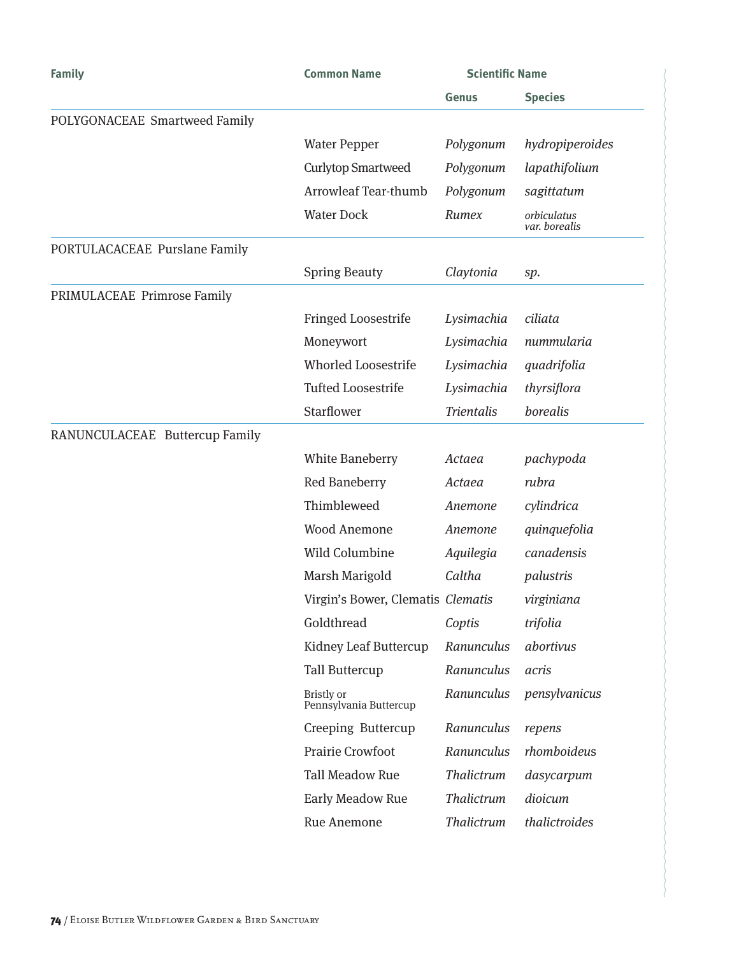| <b>Family</b>                  | <b>Common Name</b>                   | <b>Scientific Name</b> |                              |
|--------------------------------|--------------------------------------|------------------------|------------------------------|
|                                |                                      | Genus                  | <b>Species</b>               |
| POLYGONACEAE Smartweed Family  |                                      |                        |                              |
|                                | <b>Water Pepper</b>                  | Polygonum              | hydropiperoides              |
|                                | <b>Curlytop Smartweed</b>            | Polygonum              | lapathifolium                |
|                                | <b>Arrowleaf Tear-thumb</b>          | Polygonum              | sagittatum                   |
|                                | <b>Water Dock</b>                    | Rumex                  | orbiculatus<br>var. borealis |
| PORTULACACEAE Purslane Family  |                                      |                        |                              |
|                                | <b>Spring Beauty</b>                 | Claytonia              | sp.                          |
| PRIMULACEAE Primrose Family    |                                      |                        |                              |
|                                | Fringed Loosestrife                  | Lysimachia             | ciliata                      |
|                                | Moneywort                            | Lysimachia             | nummularia                   |
|                                | <b>Whorled Loosestrife</b>           | Lysimachia             | quadrifolia                  |
|                                | <b>Tufted Loosestrife</b>            | Lysimachia             | thyrsiflora                  |
|                                | Starflower                           | <b>Trientalis</b>      | borealis                     |
| RANUNCULACEAE Buttercup Family |                                      |                        |                              |
|                                | <b>White Baneberry</b>               | Actaea                 | pachypoda                    |
|                                | Red Baneberry                        | Actaea                 | rubra                        |
|                                | Thimbleweed                          | Anemone                | cylindrica                   |
|                                | <b>Wood Anemone</b>                  | Anemone                | quinquefolia                 |
|                                | Wild Columbine                       | Aquilegia              | canadensis                   |
|                                | Marsh Marigold                       | Caltha                 | palustris                    |
|                                | Virgin's Bower, Clematis Clematis    |                        | virginiana                   |
|                                | Goldthread                           | Coptis                 | trifolia                     |
|                                | Kidney Leaf Buttercup                | Ranunculus             | abortivus                    |
|                                | <b>Tall Buttercup</b>                | Ranunculus             | acris                        |
|                                | Bristly or<br>Pennsylvania Buttercup | Ranunculus             | pensylvanicus                |
|                                | Creeping Buttercup                   | Ranunculus             | repens                       |
|                                | Prairie Crowfoot                     | Ranunculus             | rhomboideus                  |
|                                | <b>Tall Meadow Rue</b>               | Thalictrum             | dasycarpum                   |
|                                | Early Meadow Rue                     | Thalictrum             | dioicum                      |
|                                | Rue Anemone                          | Thalictrum             | thalictroides                |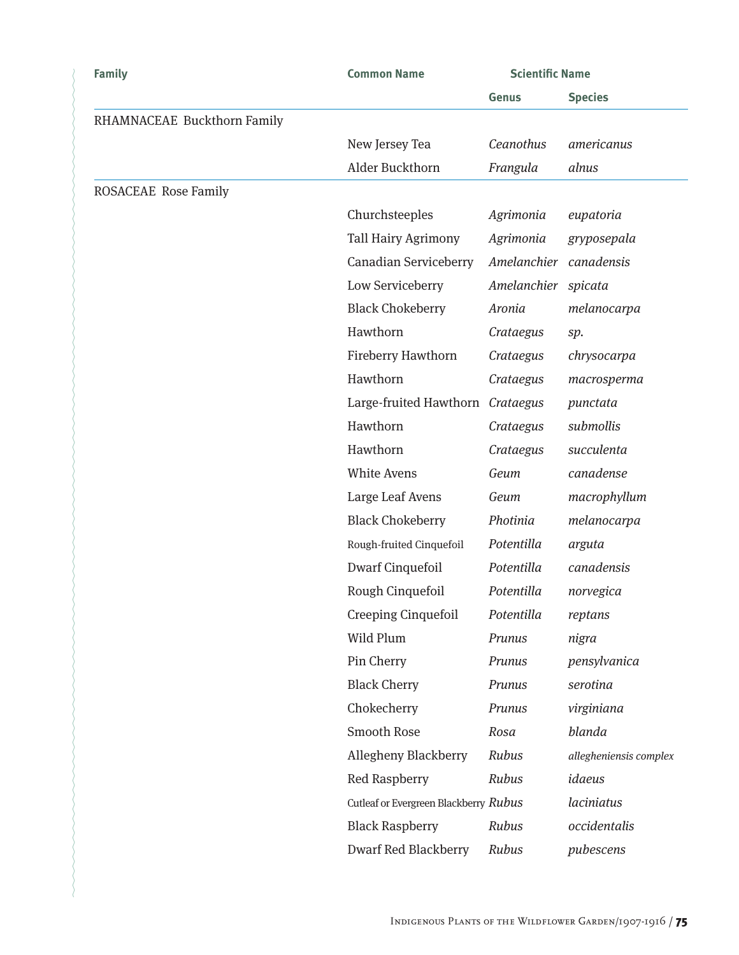| <b>Family</b>               | <b>Common Name</b>                    | <b>Scientific Name</b> |                        |
|-----------------------------|---------------------------------------|------------------------|------------------------|
|                             |                                       | <b>Genus</b>           | <b>Species</b>         |
| RHAMNACEAE Buckthorn Family |                                       |                        |                        |
|                             | New Jersey Tea                        | Ceanothus              | americanus             |
|                             | Alder Buckthorn                       | Frangula               | alnus                  |
| <b>ROSACEAE Rose Family</b> |                                       |                        |                        |
|                             | Churchsteeples                        | Agrimonia              | eupatoria              |
|                             | <b>Tall Hairy Agrimony</b>            | Agrimonia              | gryposepala            |
|                             | Canadian Serviceberry                 | Amelanchier            | canadensis             |
|                             | Low Serviceberry                      | Amelanchier spicata    |                        |
|                             | <b>Black Chokeberry</b>               | Aronia                 | melanocarpa            |
|                             | Hawthorn                              | Crataegus              | sp.                    |
|                             | Fireberry Hawthorn                    | Crataegus              | chrysocarpa            |
|                             | Hawthorn                              | Crataegus              | macrosperma            |
|                             | Large-fruited Hawthorn                | Crataegus              | punctata               |
|                             | Hawthorn                              | Crataegus              | submollis              |
|                             | Hawthorn                              | Crataegus              | succulenta             |
|                             | White Avens                           | Geum                   | canadense              |
|                             | Large Leaf Avens                      | Geum                   | macrophyllum           |
|                             | <b>Black Chokeberry</b>               | Photinia               | melanocarpa            |
|                             | Rough-fruited Cinquefoil              | Potentilla             | arguta                 |
|                             | <b>Dwarf Cinquefoil</b>               | Potentilla             | canadensis             |
|                             | Rough Cinquefoil                      | Potentilla             | norvegica              |
|                             | <b>Creeping Cinquefoil</b>            | Potentilla             | reptans                |
|                             | Wild Plum                             | Prunus                 | nigra                  |
|                             | Pin Cherry                            | Prunus                 | pensylvanica           |
|                             | <b>Black Cherry</b>                   | Prunus                 | serotina               |
|                             | Chokecherry                           | Prunus                 | virginiana             |
|                             | Smooth Rose                           | Rosa                   | blanda                 |
|                             | Allegheny Blackberry                  | Rubus                  | allegheniensis complex |
|                             | <b>Red Raspberry</b>                  | Rubus                  | idaeus                 |
|                             | Cutleaf or Evergreen Blackberry Rubus |                        | laciniatus             |
|                             | <b>Black Raspberry</b>                | Rubus                  | occidentalis           |
|                             | <b>Dwarf Red Blackberry</b>           | Rubus                  | pubescens              |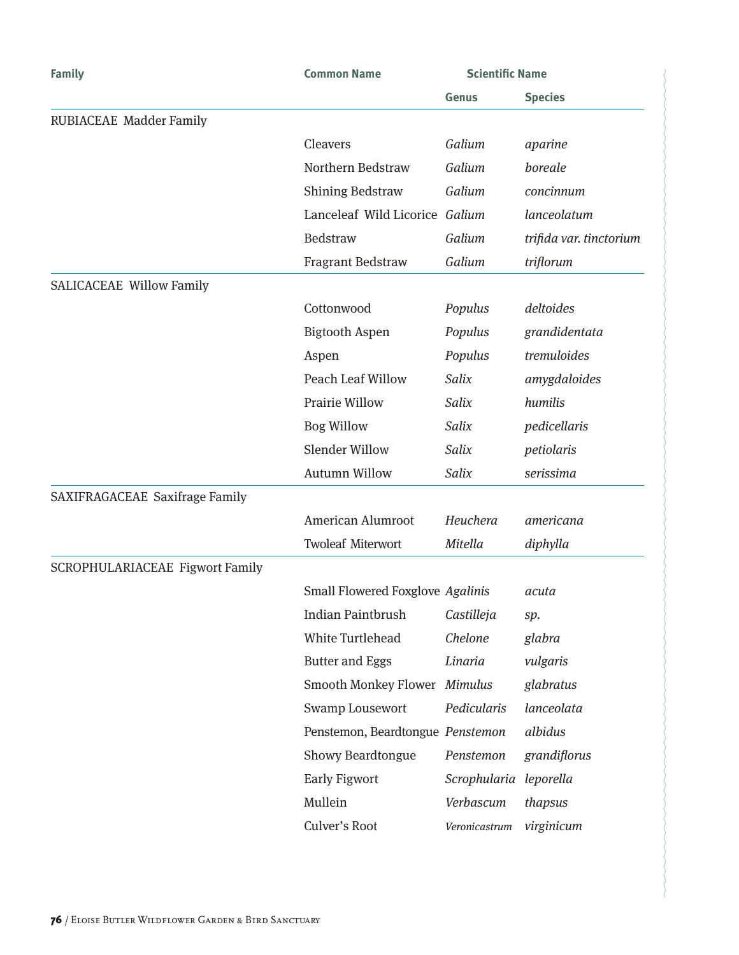| <b>Family</b>                   | <b>Common Name</b>               | <b>Scientific Name</b> |                         |
|---------------------------------|----------------------------------|------------------------|-------------------------|
|                                 |                                  | <b>Genus</b>           | <b>Species</b>          |
| RUBIACEAE Madder Family         |                                  |                        |                         |
|                                 | Cleavers                         | Galium                 | aparine                 |
|                                 | Northern Bedstraw                | Galium                 | boreale                 |
|                                 | <b>Shining Bedstraw</b>          | Galium                 | concinnum               |
|                                 | Lanceleaf Wild Licorice Galium   |                        | lanceolatum             |
|                                 | Bedstraw                         | Galium                 | trifida var. tinctorium |
|                                 | <b>Fragrant Bedstraw</b>         | Galium                 | triflorum               |
| <b>SALICACEAE Willow Family</b> |                                  |                        |                         |
|                                 | Cottonwood                       | Populus                | deltoides               |
|                                 | <b>Bigtooth Aspen</b>            | Populus                | grandidentata           |
|                                 | Aspen                            | Populus                | tremuloides             |
|                                 | <b>Peach Leaf Willow</b>         | Salix                  | amygdaloides            |
|                                 | <b>Prairie Willow</b>            | Salix                  | humilis                 |
|                                 | <b>Bog Willow</b>                | Salix                  | pedicellaris            |
|                                 | <b>Slender Willow</b>            | Salix                  | petiolaris              |
|                                 | <b>Autumn Willow</b>             | Salix                  | serissima               |
| SAXIFRAGACEAE Saxifrage Family  |                                  |                        |                         |
|                                 | American Alumroot                | Heuchera               | americana               |
|                                 | <b>Twoleaf Miterwort</b>         | Mitella                | diphylla                |
| SCROPHULARIACEAE Figwort Family |                                  |                        |                         |
|                                 | Small Flowered Foxglove Agalinis |                        | acuta                   |
|                                 | <b>Indian Paintbrush</b>         | Castilleja             | sp.                     |
|                                 | White Turtlehead                 | Chelone                | glabra                  |
|                                 | <b>Butter and Eggs</b>           | Linaria                | vulgaris                |
|                                 | <b>Smooth Monkey Flower</b>      | Mimulus                | glabratus               |
|                                 | Swamp Lousewort                  | Pedicularis            | lanceolata              |
|                                 | Penstemon, Beardtongue Penstemon |                        | albidus                 |
|                                 | <b>Showy Beardtongue</b>         | Penstemon              | grandiflorus            |
|                                 | <b>Early Figwort</b>             | Scrophularia leporella |                         |
|                                 | Mullein                          | Verbascum              | thapsus                 |
|                                 | Culver's Root                    | Veronicastrum          | virginicum              |